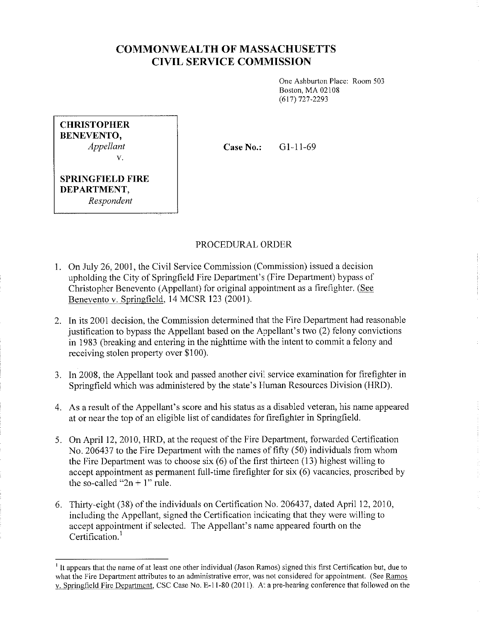## **COMMONWEALTH OF MASSACHUSETTS CIVIL SERVICE COMMISSION**

One Ashburton Place: Room 503 Boston, MA 02108 (617) 727-2293

| <b>CHRISTOPHER</b>                     |
|----------------------------------------|
| <b>BENEVENTO,</b>                      |
| Appellant                              |
| V.                                     |
| <b>SPRINGFIELD FIRE</b><br>DEPARTMENT, |

*Respondent* 

**Case No.:**  G1-11-69

## PROCEDURAL ORDER

- 1. On July 26, 2001, the Civil Service Commission (Commission) issued a decision upholding the City of Springfield Fire Department's (Fire Department) bypass of Christopher Benevento (Appellant) for original appointment as a firefighter. (See Benevento v. Springfield, 14 MCSR 123 (2001).
- 2. In its 2001 decision, the Commission determined that the Fire Department had reasonable justification to bypass the Appellant based on the Appellant's two (2) felony convictions in 1983 (breaking and entering in the nighttime with the intent to commit a felony and receiving stolen property over \$100).
- 3. In 2008, the Appellant took and passed another civil service examination for firefighter in Springfield which was administered by the state's Human Resources Division (HRD).
- 4. As a result of the Appellant's score and his status as a disabled veteran, his name appeared at or near the top of an eligible list of candidates for firefighter in Springfield.
- 5. On April 12, 2010, HRD, at the request of the Fire Department, forwarded Certification No. 206437 to the Fire Department with the names of fifty (50) individuals from whom the Fire Department was to choose six (6) of the first thirteen (13) highest willing to accept appointment as permanent full-time firefighter for six (6) vacancies, proscribed by the so-called " $2n + 1$ " rule.
- 6. Thirty-eight (38) of the individuals on Certification No. 206437, dated April 12, 2010, including the Appellant, signed the Certification indicating that they were willing to accept appointment if selected. The Appellant's name appeared fourth on the Certification.<sup>1</sup>

<sup>&</sup>lt;sup>1</sup> It appears that the name of at least one other individual (Jason Ramos) signed this first Certification but, due to **what the Fire Department attributes to an administrative error, was not considered for appointment. (See Ramos**  v. Springfield Fire Department, CSC Case No. E-11-80 (2011). At a pre-hearing conference that followed on the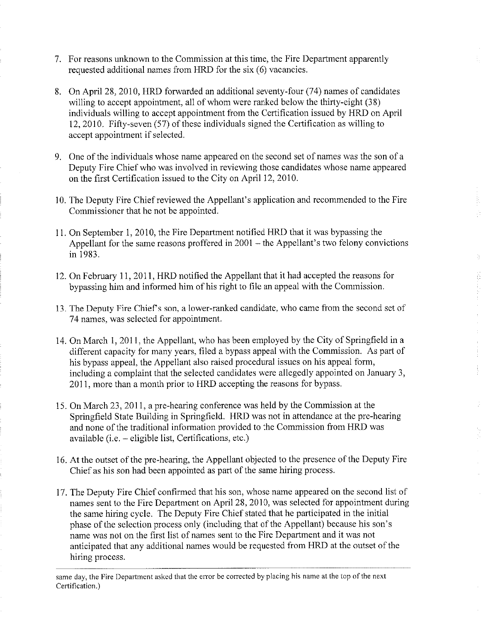- 7. For reasons unknown to the Commission at this time, the Fire Department apparently requested additional names from HRD for the six (6) vacancies.
- 8. On April 28, 2010, HRD forwarded an additional seventy-four (74) names of candidates willing to accept appointment, all of whom were ranked below the thirty-eight (38) individuals willing to accept appointment from the Certification issued by HRD on April 12, 2010. Fifty-seven (57) of these individuals signed the Certification as willing to accept appointment if selected.
- 9. One of the individuals whose name appeared on the second set of names was the son of a Deputy Fire Chief who was involved in reviewing those candidates whose name appeared on the first Certification issued to the City on April 12, 2010.
- 10. The Deputy Fire Chief reviewed the Appellant's application and recommended to the Fire Commissioner that he not be appointed.
- 11. On September 1, 2010, the Fire Department notified HRD that it was bypassing the Appellant for the same reasons proffered in 2001 – the Appellant's two felony convictions in 1983.
- 12. On February 11, 2011, HRD notified the Appellant that it had accepted the reasons for bypassing him and informed him of his right to file an appeal with the Commission.
- 13. The Deputy Fire Chief's son, a lower-ranked candidate, who came from the second set of 74 names, was selected for appointment.
- 14. On March I, 2011, the Appellant, who has been employed by the City of Springfield in a different capacity for many years, filed a bypass appeal with the Commission. As part of his bypass appeal, the Appellant also raised procedural issues on his appeal form, including a complaint that the selected candidates were allegedly appointed on January 3, 2011, more than a month prior to HRD accepting the reasons for bypass.
- 15. On March 23, 2011, a pre-hearing conference was held by the Commission at the Springfield State Building in Springfield. HRD was not in attendance at the pre-hearing and none of the traditional information provided to the Commission from HRD was available (i.e. - eligible list, Certifications, etc.)
- 16. At the outset of the pre-hearing, the Appellant objected to the presence of the Deputy Fire Chief as his son had been appointed as part of the same hiring process.
- 17. The Deputy Fire Chief confirmed that his son, whose name appeared on the second list of names sent to the Fire Department on April 28, 2010, was selected for appointment during the same hiring cycle. The Deputy Fire Chief stated that he participated in the initial phase of the selection process only (including that of the Appellant) because his son's name was not on the first list of names sent to the Fire Department and it was not anticipated that any additional names would be requested from HRD at the outset of the hiring process.

same day, the Fire Department asked that the error be corrected by placing his name at the top of the next Certification.)